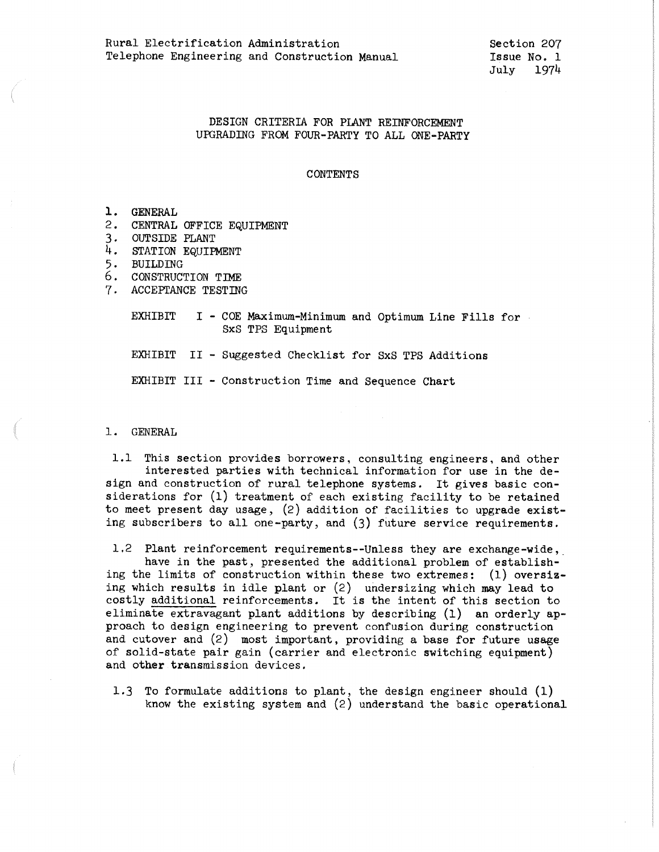# DESIGN CRITERIA FOR PLANT REINFORCEMENT UPGRADING FROM FOUR-PARTY TO ALL ONE-PARTY

#### CONTENTS

# l. GENERAL

- 2. CENTRAL OFFICE EQUIPMENT
- 3 OUTSIDE PLANT
- 4. STATION EQUIPMENT
- 5. BUILDING
- 6. CONSTRUCTION TIME
- 7. ACCEPTANCE TESTING

EXHIBIT I - COE Maximum-Minimum and Optimum Line Fills for SxS TPS Equipment

EXHIBIT II - Suggested Checklist for SxS TPS Additions

EXHIBIT III - Construction Time and Sequence Chart

#### 1. GENERAL

1.1 This section provides borrowers, consulting engineers, and other interested parties with technical information for use in the design and construction of rural telephone systems. It gives basic considerations for (1) treatment of each existing facility to be retained to meet present day usage, (2) addition of facilities to upgrade existing subscribers to all one-party, and (3) future service requirements.

1.2 Plant reinforcement requirements--Unless they are exchange-wide, have in the past, presented the additional problem of establishing the limits of construction within these two extremes: (1) **oversiz**ing which results in idle plant or (2) undersizing which may lead to costly additional reinforcements. It is the intent of this section to eliminate extravagant plant additions by describing (1) an orderly approach to design engineering to prevent confusion during construction and cutover and (2) most important, providing a base for future usage of solid-state pair gain (carrier and electronic switching equipment) and other transmission devices.

1.3 To formulate additions to plant, the design engineer should (1) know the existing system and (2) understand the basic operational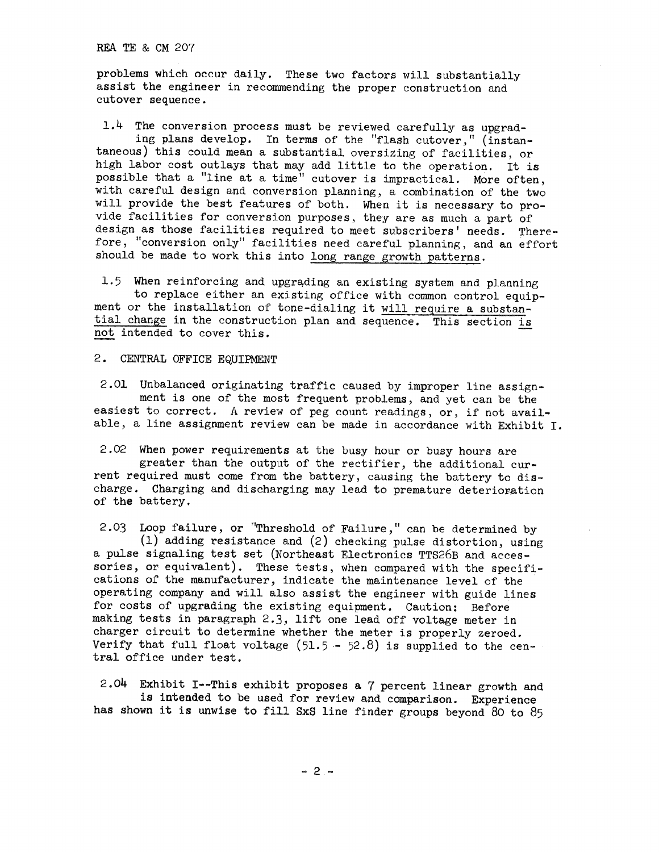problems which occur daily. These two factors will substantially assist the engineer in recommending the proper construction and cutover sequence.

1.4 The conversion process must be reviewed carefully as upgrading plans develop. In terms of the "flash cutover," (instantaneous) this could mean a substantial oversizing of facilities, or high labor cost outlays that may add little to the operation. It is possible that a "line at a time" cutover is impractical. More often, with careful design and conversion planning, a combination of the two will provide the best features of both. When it is necessary to provide facilities for conversion purposes., they are as much a part of design as those facilities required to meet subscribers' needs. Therefore, "conversion only" facilities need careful planning, and an effort should be made to work this into long range growth patterns.

1.5 When reinforcing and upgrading an existing system and planning to replace either an existing office with common control equipment or the installation of tone-dialing it will require a substantial change in the construction plan and sequence. This section is not intended to cover this.

# 2. CENTRAL OFFICE EQUIPMENT

2.01 Unbalanced originating traffic caused by improper line assignment is one of the most frequent problems, and yet can be the easiest to correct. *A* review of peg count readings, or, if not available, a line assignment review can be made in accordance with Exhibit I.

2.02 When power requirements at the busy hour or busy hours are greater than the output of the rectifier, the additional current required must come from the battery, causing the battery to discharge. Charging and discharging may lead to premature deterioration of the battery.

2 .03 Loop failure, or ''Threshold of Failure," can be determined by (1) adding resistance and (2) checking pulse distortion, using a pulse signaling test set (Northeast Electronics TTS26B and accessories, or equivalent). These tests, when compared with the specifications of the manufacturer, indicate the maintenance level of the operating company and will also assist the engineer with guide lines for costs of upgrading the existing equipment. Caution: Before making tests in paragraph 2.3, lift one lead off voltage meter in charger circuit to determine whether the meter is properly zeroed. Verify that full float voltage  $(51.5 - 52.8)$  is supplied to the central office under test.

2.04 Exhibit I--This exhibit proposes a 7 percent linear growth and is intended to be used for review and comparison. Experience has shown it is unwise to fill SxS line finder groups beyond 80 to 85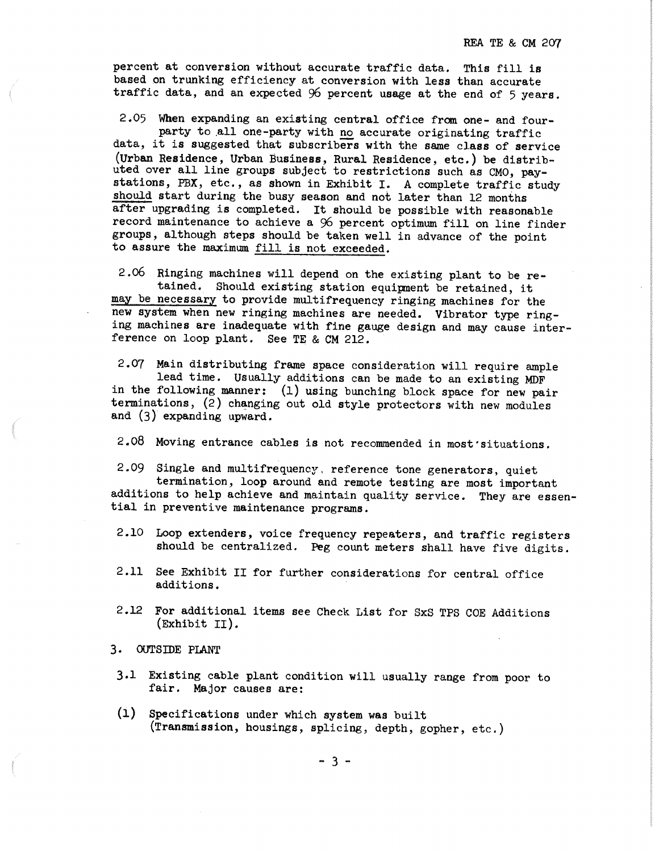percent at conversion without accurate traffic data. This fill is based on trunking efficiency at conversion with less than accurate traffic data, and an expected 96 percent usage at the end of 5 years.

2.05 When expanding an existing central office from one- and fourparty to all one-party with no accurate originating traffic data, it is suggested that subscribers with the same class of service (Urban Residence, Urban Business, Rural Residence, etc.) be distributed over all line groups subject to restrictions such as CMO, paystations, PBX, etc., as shown in Exhibit I. A complete traffic study should start during the busy season and not later than 12 months after upgrading is completed. It should be possible with reasonable record maintenance to achieve a 96 percent optimum fill on line finder groups, although steps should be taken well in advance of the point to assure the maximum fill is not exceeded.

2.06 Ringing machines will depend on the existing plant to be retained. Should existing station equipnent be retained, it may be necessary to provide multifrequency ringing machines for the new system when new ringing machines are needed. Vibrator type ringing machines are inadequate with fine gauge design and may cause inter-

ference on loop plant. See TE & **CM** 212.

2.07 **Main** distributing frame space consideration will require ample lead time. Usually additions can be made to an existing MDF in the following manner: (1) using bunching block space for new pair terminations, (2) changing out old style protectors with new modules and (3) expanding upward.

2.08 Moving entrance cables is not recommended in most situations.

2.09 Single and multifrequency, reference tone generators, quiet

termination, loop around and remote testing are most important additions to help achieve and maintain quality service. They are essential in preventive maintenance programs.

- 2.10 Loop extenders, voice frequency repeaters, and traffic registers should be centralized. Peg count meters shall have five digits.
- 2.11 See Exhibit II for further considerations for central office additions.
- 2.12 For additional items see Check List for SxS TPS COE Additions (Exhibit II).

3. OUTSIDE PLANT

- 3.1 Existing cable plant condition will usually range from poor to fair. Major causes are:
- (1) Specifications under which system was built (Transmission, housings, splicing, depth, gopher, etc.)

- 3 -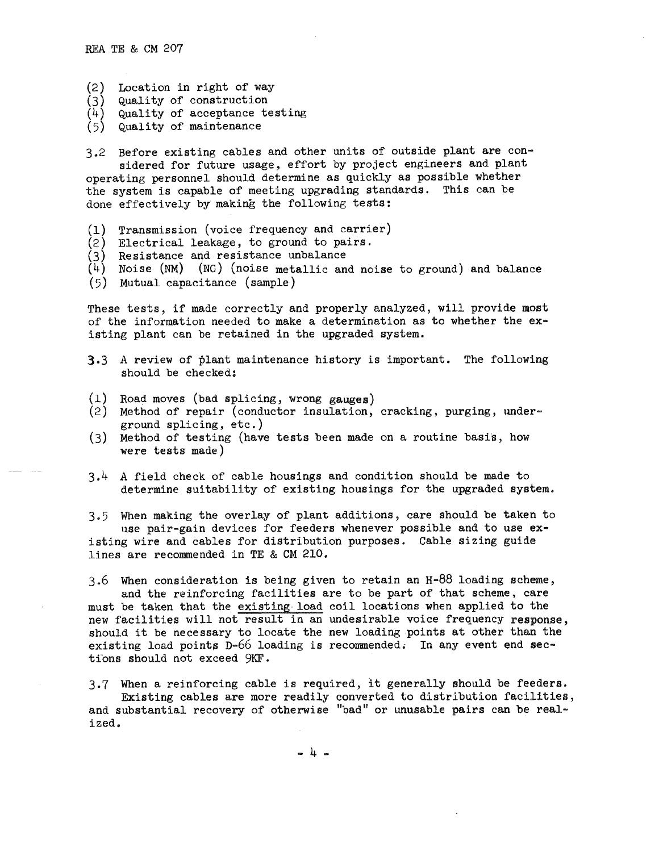- (2) Location in right of way
- (3) Quality of construction
- (4) Quality of acceptance testing
- (5) Quality of maintenance

3.2 Before existing cables and other units of outside plant are considered for future usage, effort by project engineers and plant operating personnel should determine as quickly as possible whether the system is capable of meeting upgrading standards. This can be done effectively by making the following tests:

- (1) Transmission (voice frequency and carrier)
- (2) Electrical leakage, to ground to pairs.
- (3) Resistance and resistance unbalance
- $(4)$  Noise  $(NM)$   $(NG)$  (noise metallic and noise to ground) and balance
- (5) Mutual capacitance (sample)

These tests, if made correctly and properly analyzed, will provide most of the information needed to make a determination as to whether the existing plant can be retained in the upgraded system.

- 3.3 A review of plant maintenance history is important. The following should be checked:
- (1) Road moves (bad splicing, wrong gauges)
- (2) Method of repair (conductor insulation, cracking, purging, underground splicing, etc.)
- (3) Method of testing (have tests been made on a routine basis, how were tests made)
- 3.4 A field check of cable housings and condition should be made to determine suitability of existing housings for the upgraded system.

3.5 When making the overlay of plant additions, care should be taken to use pair-gain devices for feeders whenever possible and to use existing wire and cables for distribution purposes. Cable sizing guide lines are recommended in TE & CM 210.

3.6 When consideration is being given to retain an H-88 loading scheme, and the reinforcing facilities are to be part of that scheme, care must be taken that the existing load coil locations when applied to the new facilities will not result in an undesirable voice frequency response, should it be necessary to locate the new loading points at other than the existing load points D-66 loading is recommended. In any event end sections should not exceed 9KF.

3.7 When a reinforcing cable is required, it generally should be feeders. Existing cables are more readily converted to distribution facilities, and substantial recovery of otherwise "bad" or unusable pairs can be realized.

- 4 -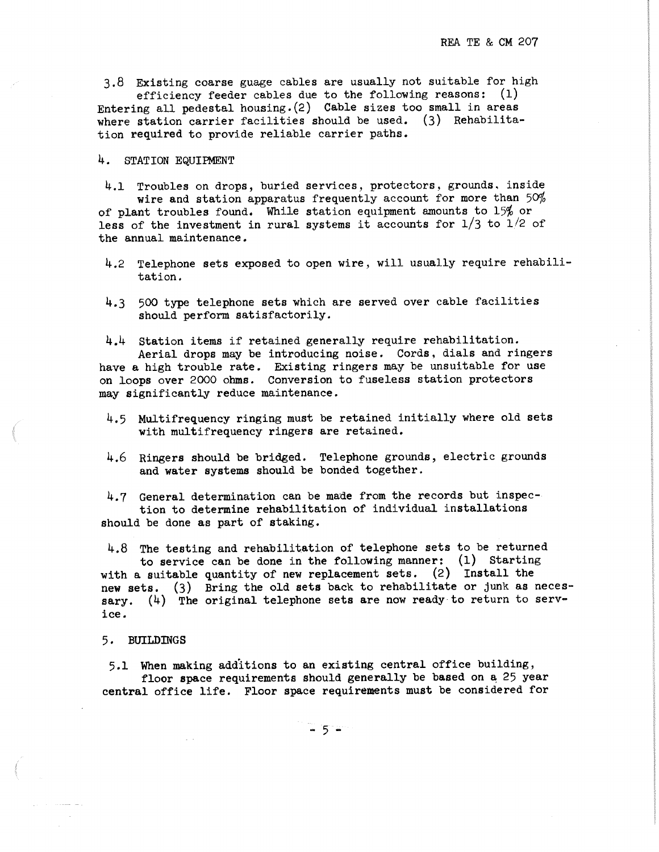3,8 Existing coarse guage cables are usually not suitable for high efficiency feeder cables due to the following reasons: (1) Entering all pedestal housing.(2) Cable sizes too small in areas where station carrier facilities should be used. (3) Rehabilitation required to provide reliable carrier paths.

#### 4. STATION EQUIFMENT

4.1 Troubles on drops, buried services, protectors, grounds, inside wire and station apparatus frequently account for more than  $50\%$ of plant troubles found. While station equipment amounts to 15% or less of the investment in rural systems it accounts for  $1/3$  to  $1/2$  of the annual maintenance.

- 4.2 Telephone sets exposed to open wire, will usually require rehabilitation.
- 4.3 500 type telephone sets which are served over cable facilities should perform satisfactorily.

4.4 Station items if retained generally require rehabilitation. Aerial drops may be introducing noise, Cords, dials and ringers have a high trouble rate. Existing ringers may be unsuitable for use on loops over 2000 ohms. Conversion to fuseless station protectors may significantly reduce maintenance.

- 4.5 Multifrequency ringing must be retained initially where old sets with multifrequency ringers are retained.
- 4.6 Ringers should be bridged. Telephone grounds, electric grounds and water systems should be bonded together.

 $4.7$  General determination can be made from the records but inspection to determine rehabilitation of individual installations should be done as part of staking.

 $4.8$  The testing and rehabilitation of telephone sets to be returned to service can be done in the following manner: (1) Startin with a suitable quantity of new replacement sets. (2) Install the new sets. (3) Bring the old sets back to rehabilitate or junk as necessary.  $(4)$  The original telephone sets are now ready to return to service.

# 5 • BUILDINGS

5.1 When making additions to an existing central office building, floor space requirements should generally be based on a 25 year central office life. Floor space requirements must be considered for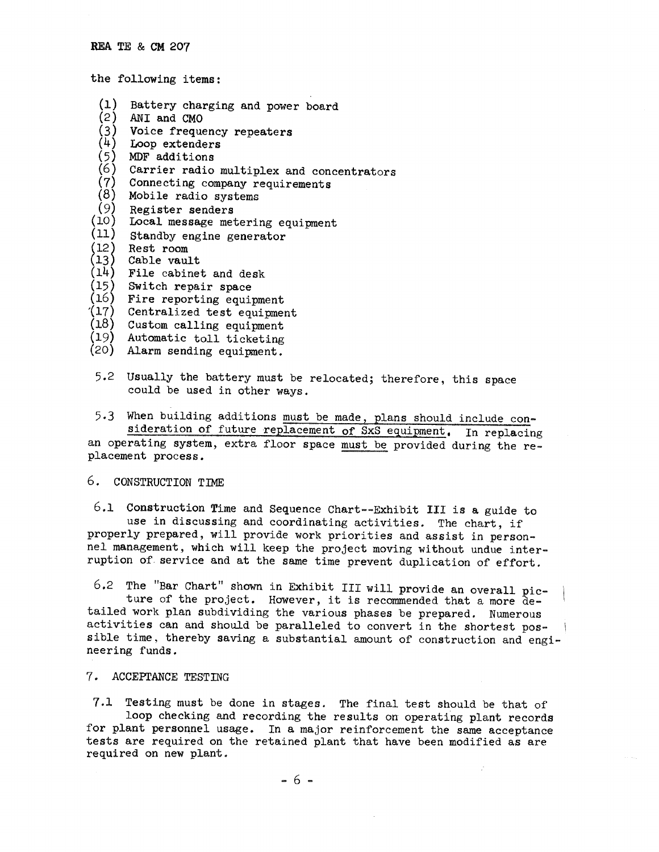the following items:

- (1) Battery charging and power board
- (2) ANI and CMO
- (3) Voice frequency repeaters
- (4) Loop extenders
- $\zeta$ 5) .MDF additions
- (6) Carrier radio multiplex and concentrators
- (7) Connecting company requirements
- (8) Mobile radio systems
- (9) Register senders
- (10) Local message metering equipment
- (11) Standby engine generator
- $\binom{12}{13}$ Rest room
- Cable vault
- (14) File cabinet and desk
- (15) Switch repair space
- (16) Fire reporting equipment
- '(17) Centralized test equipment
- (18) Custom calling equipment
- (19) Automatic toll ticketing
- (20) Alarm sending equipment.
- 5.2 Usually the battery must be relocated; therefore, this space could be used in other ways.

5.3 When building additions must be made, plans should include con-

sideration of future replacement of SxS equipment. In replacing an operating system, extra floor space must be provided during the replacement process.

# 6. CONSTRUCTION TIME

6.1 Construction Time and Sequence Chart--Exhibit III is a guide to use in discussing and coordinating activities. The chart, if properly prepared, will provide work priorities and assist in personnel management, which will keep the project moving without undue interruption of service and at the same time prevent duplication of effort.

6.2 The "Ear Chart" shown in Exhibit III will provide an overall pic- ture of the project. However, it is recommended that a more detailed work plan subdividing the various phases be prepared. Numerous activities can and should be paralleled to convert in the shortest possible time, thereby saving a substantial amount of construction and engineering funds.

7. ACCEPTANCE TESTING

7.1 Testing must be done in stages. The final test should be that of loop checking and recording the results on operating plant records for plant personnel usage. In a major reinforcement the same acceptance tests are required on the retained plant that have been modified as are required on new plant.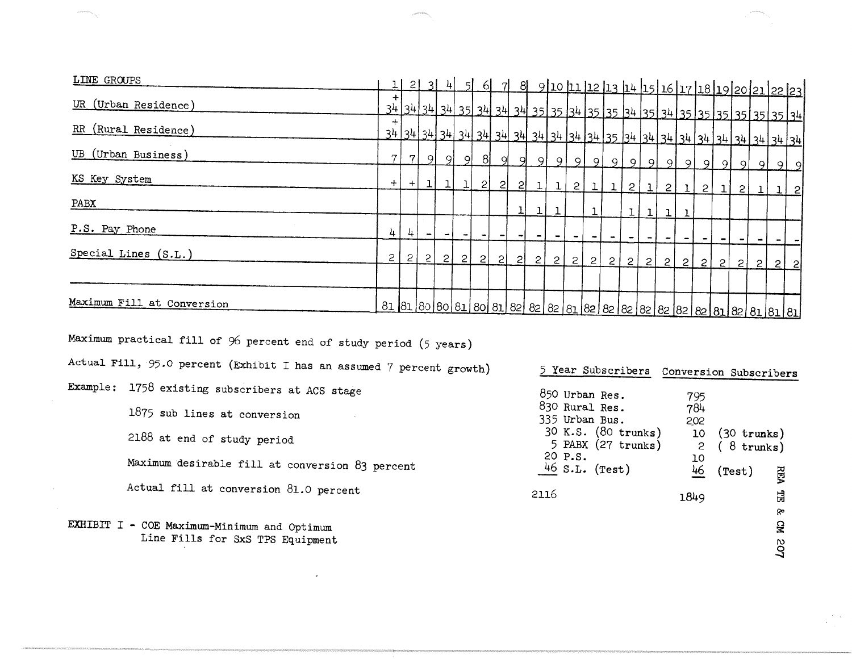| LINE GROUPS                |                                                                                                 | 2            | ३।           |                | -51            | 6              |                              |    |              |                |                |                |                |                   |                     |                |              |                              |                |                   |                | 7 8 9 10 11 12 13 14 15 16 17 18 19 20 21 22 23                               |                |
|----------------------------|-------------------------------------------------------------------------------------------------|--------------|--------------|----------------|----------------|----------------|------------------------------|----|--------------|----------------|----------------|----------------|----------------|-------------------|---------------------|----------------|--------------|------------------------------|----------------|-------------------|----------------|-------------------------------------------------------------------------------|----------------|
| UR (Urban Residence)       |                                                                                                 |              |              |                |                |                |                              |    |              |                |                |                |                |                   |                     |                |              |                              |                |                   |                | 34 34 34 34 34 35 34 34 34 35 35 34 35 36 37 35 34 35 34 35 35 35 35 35 36 34 |                |
| RR (Rural Residence)       | 341                                                                                             |              |              |                |                |                |                              |    |              |                |                |                |                |                   |                     |                |              |                              |                |                   |                |                                                                               |                |
| UB (Urban Business)        | 7                                                                                               | 7            | -91          | -9I            | -91            | -81            | - Ol                         | g  | -91          | -91            | -9 I           | -9 I           | $\overline{9}$ | -9 I              | -91                 | -9 I           | -9 I         | -9 I                         | -91            | $\mathsf{Q}$      | -91            | -91                                                                           | -91            |
| KS Key System              | $+$                                                                                             | $\div$       |              |                |                | $\overline{2}$ | 2                            | 21 |              |                | $\overline{c}$ | $\mathbf 1$    | $\mathbf 1$    | $\overline{2}$    | $\cdot$ 1 $^\prime$ | $\overline{c}$ | $\mathbf{I}$ | $\overline{c}$               | $\mathbf{1}$   | $\overline{c}$    | $\mathbf{1}$   | $\mathbf{1}$                                                                  | $\overline{c}$ |
| PABX                       |                                                                                                 |              |              |                |                |                |                              |    |              |                |                |                |                |                   | $\mathbf 1$         | $\mathbf 1$    |              |                              |                |                   |                |                                                                               |                |
| P.S. Pay Phone             | 4                                                                                               | 4            |              | ۰              | $\blacksquare$ |                | $\qquad \qquad \blacksquare$ |    |              | $\blacksquare$ | $\blacksquare$ | $\sim$         | $\blacksquare$ |                   | $\blacksquare$      | $\,$           |              | $\qquad \qquad \blacksquare$ | $\blacksquare$ | $\blacksquare$    | $\blacksquare$ | $\qquad \qquad \blacksquare$                                                  |                |
| Special Lines (S.L.)       | 2                                                                                               | $\mathbf{S}$ | $\mathbf{2}$ | $\overline{c}$ | $\overline{2}$ | 2              | 2                            | 2  | $\mathbf{2}$ | $\mathbf{2}$   | $\overline{c}$ | $\overline{c}$ | $\mathbf{2}$   | $\lceil 2 \rceil$ | $\overline{c}$      | $\overline{c}$ | $\mathbf{2}$ | 2                            | $\overline{c}$ | $\lceil 2 \rceil$ | $\overline{2}$ | 2 <sup>1</sup>                                                                | -21            |
|                            |                                                                                                 |              |              |                |                |                |                              |    |              |                |                |                |                |                   |                     |                |              |                              |                |                   |                |                                                                               |                |
| Maximum Fill at Conversion | <u>81  81  80  80  81  80  81  82  82  81  82  82  82  82  82  82  81  82  81  81  81  81  </u> |              |              |                |                |                |                              |    |              |                |                |                |                |                   |                     |                |              |                              |                |                   |                |                                                                               |                |

Maximum practical fill of 96 percent end of study period (5 years)

 $\mathbf{y}^{\prime}$ 

 $\sim$ 

|          | Actual Fill, 95.0 percent (Exhibit I has an assumed 7 percent growth) | 5 Year Subscribers Conversion Subscribers           |                      |                                               |
|----------|-----------------------------------------------------------------------|-----------------------------------------------------|----------------------|-----------------------------------------------|
| Example: | 1758 existing subscribers at ACS stage                                | $850$ Urban Res.                                    | 795                  |                                               |
|          | 1875 sub lines at conversion                                          | $830$ Rural Res.<br>335 Urban Bus.                  | 784<br>202           |                                               |
|          | 2188 at end of study period                                           | 30 K.S. (80 trunks)<br>5 PABX $(27 \text{ trunks})$ | 10<br>$\overline{c}$ | $(30 \text{ trunks})$<br>$(8 \text{ trunks})$ |
|          | Maximum desirable fill at conversion 83 percent                       | 20 P.S.<br>$46 S.L.$ (Test)                         | 10<br>46             | REA<br>(Test)                                 |
|          | Actual fill at conversion 81.0 percent                                | 2116                                                | 1849                 | 녑                                             |
|          | EXHIBIT I - COE Maximum-Minimum and Optimum                           |                                                     |                      | ≫<br>g                                        |
|          | Line Fills for SxS TPS Equipment                                      |                                                     |                      | 507                                           |

 $\lambda_{\rm{max}}$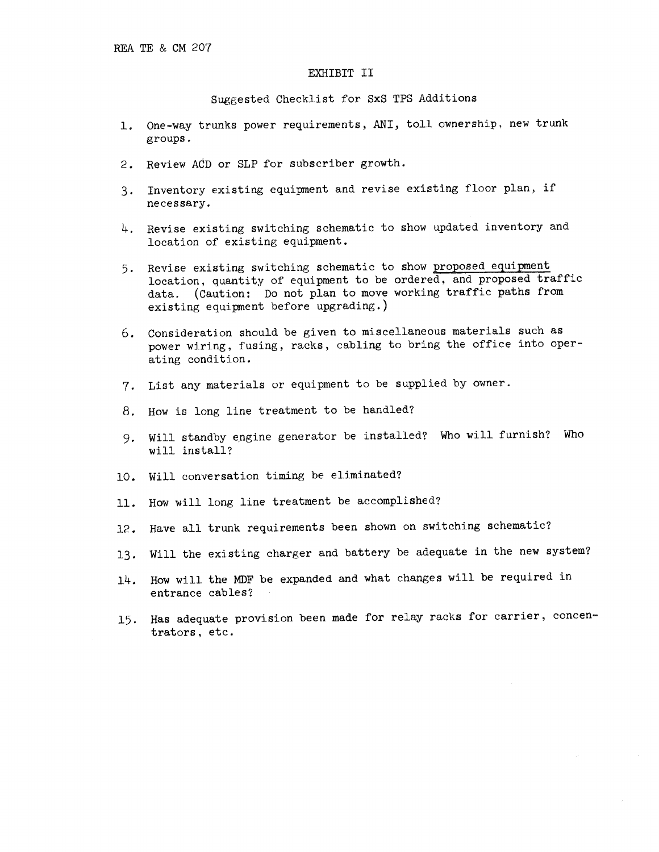### EXHIBIT II

Suggested Checklist for SxS TPS Additions

- 1. One-way trunks power requirements, ANI, toll ownership, new trunk groups.
- 2. Review ACD or SLP for subscriber growth.
- 3, Inventory existing equipment and revise existing floor plan, if necessary.
- 4. Revise existing switching schematic to show updated inventory and location of existing equipment.
- 5, Revise existing switching schematic to show proposed equipment location, quantity of equipment to be ordered, and proposed traffic data. (Caution: Do not plan to move working traffic paths from existing equipment before upgrading.)
- 6. Consideration should be given to miscellaneous materials such as power wiring, fusing, racks, cabling to bring the office into operating condition.
- 7, List any materials or equipment to be supplied by owner.
- 8. How is long line treatment to be handled?
- 9. Will standby engine generator be installed? Who will furnish? Who will install?
- 10. Will conversation timing be eliminated?
- 11. How will long line treatment be accomplished?
- 12. Have all trunk requirements been shown on switching schematic?
- 13, Will the existing charger and battery be adequate in the new system?
- 14. How will the MDF be expanded and what changes will be required in entrance cables?
- 15. Has adequate provision been made for relay racks for carrier, concentrators, etc.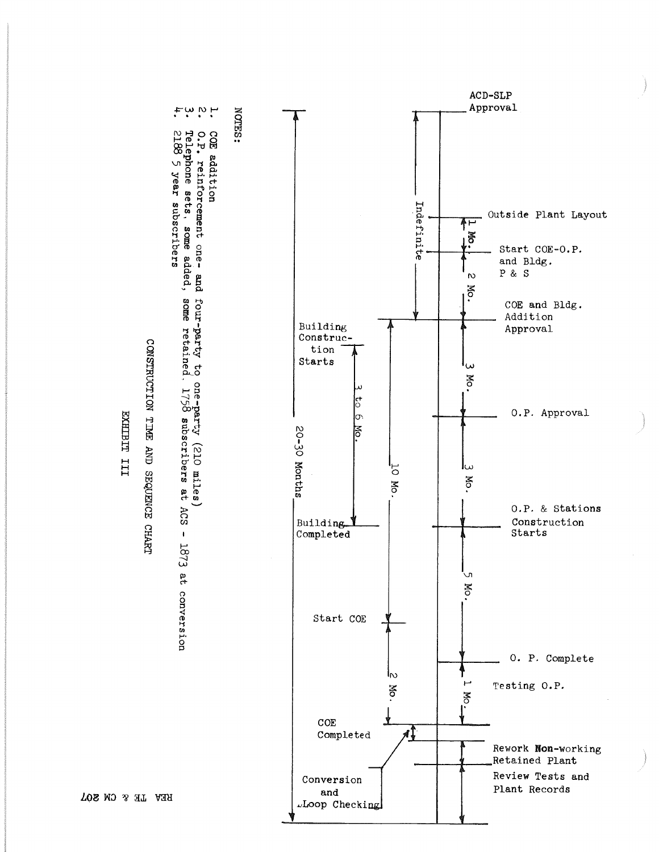

**NOTES:** 

- 
- 
- 
- $7.9977$
- 

CONSTRUCTION TIME AND SEQUENCE CHART

# EXHIDITI TII